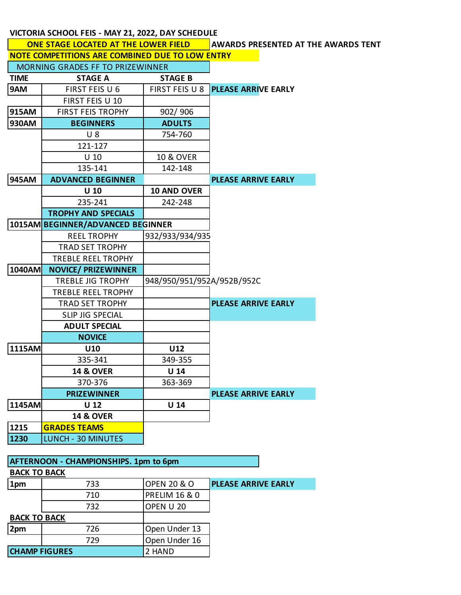## **VICTORIA SCHOOL FEIS - MAY 21, 2022, DAY SCHEDULE**

|                                                                                            |                            | AWARDS PRESENTED AT THE AWARDS TENT |                            |  |  |  |
|--------------------------------------------------------------------------------------------|----------------------------|-------------------------------------|----------------------------|--|--|--|
| <b>ONE STAGE LOCATED AT THE LOWER FIELD</b>                                                |                            |                                     |                            |  |  |  |
| NOTE COMPETITIONS ARE COMBINED DUE TO LOW ENTRY<br><b>MORNING GRADES FF TO PRIZEWINNER</b> |                            |                                     |                            |  |  |  |
|                                                                                            |                            |                                     |                            |  |  |  |
| <b>TIME</b>                                                                                | <b>STAGE A</b>             | <b>STAGE B</b>                      |                            |  |  |  |
| 9AM                                                                                        | FIRST FEIS U 6             | FIRST FEIS U 8                      | <b>PLEASE ARRIVE EARLY</b> |  |  |  |
|                                                                                            | FIRST FEIS U 10            |                                     |                            |  |  |  |
| 915AM                                                                                      | <b>FIRST FEIS TROPHY</b>   | 902/906                             |                            |  |  |  |
| 930AM                                                                                      | <b>BEGINNERS</b>           | <b>ADULTS</b>                       |                            |  |  |  |
|                                                                                            | $U_8$                      | 754-760                             |                            |  |  |  |
|                                                                                            | 121-127                    |                                     |                            |  |  |  |
|                                                                                            | $U$ 10                     | <b>10 &amp; OVER</b>                |                            |  |  |  |
|                                                                                            | 135-141                    | 142-148                             |                            |  |  |  |
| 945AM                                                                                      | <b>ADVANCED BEGINNER</b>   |                                     | <b>PLEASE ARRIVE EARLY</b> |  |  |  |
|                                                                                            | $U$ 10                     | 10 AND OVER                         |                            |  |  |  |
|                                                                                            | 235-241                    | 242-248                             |                            |  |  |  |
|                                                                                            | <b>TROPHY AND SPECIALS</b> |                                     |                            |  |  |  |
| 1015AM BEGINNER/ADVANCED BEGINNER                                                          |                            |                                     |                            |  |  |  |
|                                                                                            | <b>REEL TROPHY</b>         | 932/933/934/935                     |                            |  |  |  |
|                                                                                            | <b>TRAD SET TROPHY</b>     |                                     |                            |  |  |  |
|                                                                                            | <b>TREBLE REEL TROPHY</b>  |                                     |                            |  |  |  |
| 1040AM                                                                                     | <b>NOVICE/ PRIZEWINNER</b> |                                     |                            |  |  |  |
|                                                                                            | <b>TREBLE JIG TROPHY</b>   | 948/950/951/952A/952B/952C          |                            |  |  |  |
|                                                                                            | TREBLE REEL TROPHY         |                                     |                            |  |  |  |
|                                                                                            | <b>TRAD SET TROPHY</b>     |                                     | <b>PLEASE ARRIVE EARLY</b> |  |  |  |
|                                                                                            | SLIP JIG SPECIAL           |                                     |                            |  |  |  |
|                                                                                            | <b>ADULT SPECIAL</b>       |                                     |                            |  |  |  |
|                                                                                            | <b>NOVICE</b>              |                                     |                            |  |  |  |
| 1115AM                                                                                     | U10                        | U12                                 |                            |  |  |  |
|                                                                                            | 335-341                    | 349-355                             |                            |  |  |  |
|                                                                                            | <b>14 &amp; OVER</b>       | U <sub>14</sub>                     |                            |  |  |  |
|                                                                                            | 370-376                    | 363-369                             |                            |  |  |  |
|                                                                                            | <b>PRIZEWINNER</b>         |                                     | PLEASE ARRIVE EARLY        |  |  |  |
| 1145AM                                                                                     | U <sub>12</sub>            | U <sub>14</sub>                     |                            |  |  |  |
|                                                                                            | <b>14 &amp; OVER</b>       |                                     |                            |  |  |  |
| 1215                                                                                       | <b>GRADES TEAMS</b>        |                                     |                            |  |  |  |
| 1230                                                                                       | LUNCH - 30 MINUTES         |                                     |                            |  |  |  |
|                                                                                            |                            |                                     |                            |  |  |  |

| <b>AFTERNOON - CHAMPIONSHIPS. 1pm to 6pm</b> |     |                          |                            |  |  |  |
|----------------------------------------------|-----|--------------------------|----------------------------|--|--|--|
| <b>BACK TO BACK</b>                          |     |                          |                            |  |  |  |
| 1pm                                          | 733 | <b>OPEN 20 &amp; O</b>   | <b>PLEASE ARRIVE EARLY</b> |  |  |  |
|                                              | 710 | <b>PRELIM 16 &amp; 0</b> |                            |  |  |  |
|                                              | 732 | OPEN U 20                |                            |  |  |  |
| <b>BACK TO BACK</b>                          |     |                          |                            |  |  |  |
| 2pm                                          | 726 | Open Under 13            |                            |  |  |  |
|                                              | 729 | Open Under 16            |                            |  |  |  |
| <b>CHAMP FIGURES</b>                         |     | 2 HAND                   |                            |  |  |  |